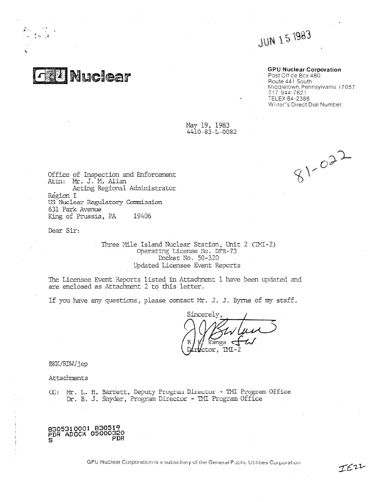**JUN 15 1983** 

# GPU Nuclear Corporation

Post Office Bcx 480 Route 441 South Middletown, Pennsylvania 17057 7-17 944-7621 , TELEX 84-2386 \Nriter"s Direct Dial Number:

May 19, 1983 4410-83-L-0082

 $71 - 00$ 

Office of Inspection and Enforcement Attn: Mr. J. M. Allan Acting Regional Administrator Region I US Nuclear Regulatory Comiasion 631 Park Avenue King of Prussia, PA 19406

Nuclear

Dear Sir:

Three Mile Island Nuclear Station, Unit 2 (IMI-2) Operating License No. DFR- 73 Docket No. 50-320 Updated Licensee Event Reports

The Licensee Event Reports listed in Attachrent 1 have been updated and are enclosed as Attachment 2 to this letter.

If you have any questions, please contact Mr. J. J. Byrne of my staff.

Sincerely **TMI** 2

BKK/RDW/jep

Attachments

i

CC: Mr. L. H. Barrett, Deputy Program Director - TMI Program Office Dr. B. J. Snyder, Program Director - THE Program Office

8305310001 830519 PDR ADOCK 05000320 S PDR

GPU Nuclear Corporation is a subsidiary of the General Public Utilities Corporation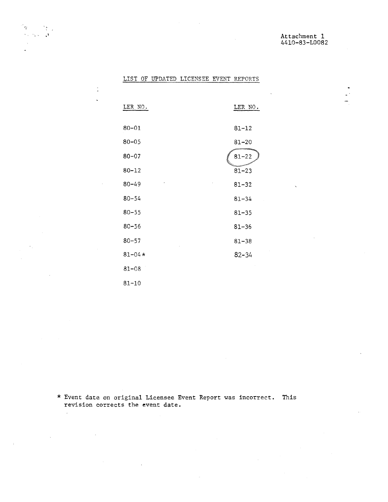$\frac{1}{2}$  $\overline{\phantom{a}}$ 

|  |  |  | LIST OF UPDATED LICENSEE EVENT REPORTS |
|--|--|--|----------------------------------------|
|  |  |  |                                        |

 $\mathfrak{g}_1$ 

 $\ddot{\phantom{a}}$ 

> $\ddot{\cdot}$  $\ddot{\phantom{a}}$

 $\omega$ 

 $\sim 10^{-11}$ 

| LER NO.    | LER NO.   |
|------------|-----------|
| $80 - 01$  | $81 - 12$ |
| $80 - 05$  | $81 - 20$ |
| $80 - 07$  | $81 - 22$ |
| $80 - 12$  | $81 - 23$ |
| $80 - 49$  | $81 - 32$ |
| $80 - 54$  | $81 - 34$ |
| $80 - 55$  | $81 - 35$ |
| $80 - 56$  | $81 - 36$ |
| $80 - 57$  | $81 - 38$ |
| $81 - 04*$ | $82 - 34$ |
| $81 - 08$  |           |
| 81-10      |           |

\* Event date on original Licensee Event Report was incorrect. Thisrevision corrects the event date.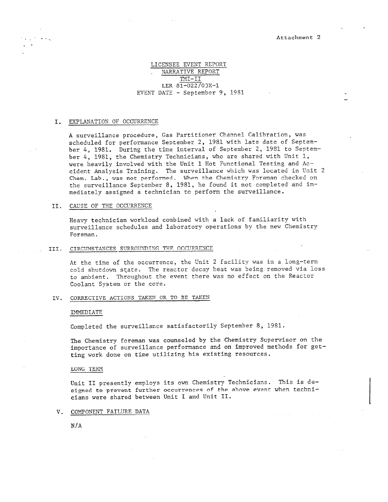\_

# LICENSEE EVENT REPORT NARRATIVE REPORT TMI-II LER 81-022/03X-1 EVENT DATE - September 9, 1981

## I. EXPLANATION OF OCCURRENCE

,

A surveillance procedure, Gas Partitioner Channel Calibration, was scheduled for performance September 2, 1981 with late date of September 4, 1981. During the time interval of September 2, 1981 to September 4, 1981, the Chemistry Technicians, who are shared with Unit 1, were heavily involved with the Unit 1 Hot Functional Testing and Accident Analysis Training. The surveillance which was located in Unit 2 Chem. Lab., was not performed. When the Chemistry Foreman checked on the surveillance September 8, 1981, he found it not completed and immediately assigned a technician to perform the surveillance.

## II. CAUSE OF THE OCCURRENCE

Heavy technician workload combined with a lack of familiarity with surveillance schedules and laboratory operations by the new Chemistry Foreman.

III. CIRCUMSTANCES SURROUNDINC, THE OCCURRENCE

At the time of the occurrence, the Unit 2 facility was in a long-term cold shutdown state. The reactor decay heat was being removed via loss to ambient. Throughout the event there was no effect on the Reactor Coolant System or the core.

### IV. CORRECTIVE ACTIONS TAKEN OR TO BE TAKEN

#### IMMEDIATE

Completed the surveillance satisfactorily September 8, 1981.

The Chemistry foreman was counseled by the Chemistry Supervisor on the importance of surveillance performance and on improved methods for getting work done on time utilizing his existing resources.

#### LUNG TERM

Unit II presently employs its own Chemistry Technicians. This is designed to prevent further occurrences of the above event when technicians were shared between Unit I and Unit II.

## V. COMPONENT FAILURE DATA

N/A